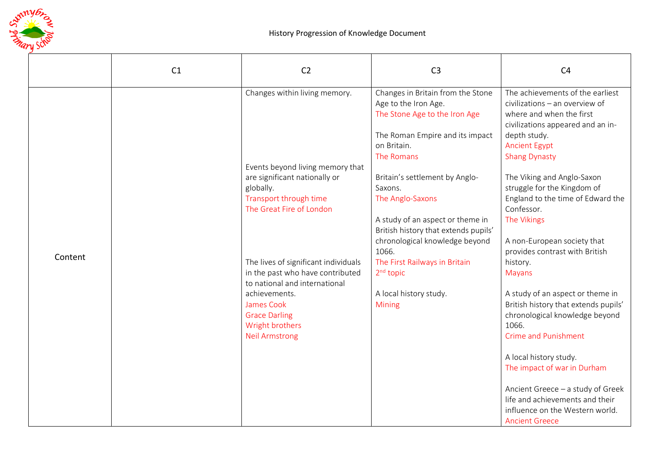

|         | C1 | C <sub>2</sub>                                                                                            | C <sub>3</sub>                                                                                                                                             | C <sub>4</sub>                                                                                                                                                                                      |
|---------|----|-----------------------------------------------------------------------------------------------------------|------------------------------------------------------------------------------------------------------------------------------------------------------------|-----------------------------------------------------------------------------------------------------------------------------------------------------------------------------------------------------|
|         |    | Changes within living memory.<br>Events beyond living memory that                                         | Changes in Britain from the Stone<br>Age to the Iron Age.<br>The Stone Age to the Iron Age<br>The Roman Empire and its impact<br>on Britain.<br>The Romans | The achievements of the earliest<br>civilizations - an overview of<br>where and when the first<br>civilizations appeared and an in-<br>depth study.<br><b>Ancient Egypt</b><br><b>Shang Dynasty</b> |
|         |    | are significant nationally or<br>globally.<br>Transport through time<br>The Great Fire of London          | Britain's settlement by Anglo-<br>Saxons.<br>The Anglo-Saxons<br>A study of an aspect or theme in<br>British history that extends pupils'                  | The Viking and Anglo-Saxon<br>struggle for the Kingdom of<br>England to the time of Edward the<br>Confessor.<br>The Vikings                                                                         |
| Content |    | The lives of significant individuals<br>in the past who have contributed<br>to national and international | chronological knowledge beyond<br>1066.<br>The First Railways in Britain<br>2 <sup>nd</sup> topic                                                          | A non-European society that<br>provides contrast with British<br>history.<br><b>Mayans</b>                                                                                                          |
|         |    | achievements.<br>James Cook<br><b>Grace Darling</b><br>Wright brothers<br><b>Neil Armstrong</b>           | A local history study.<br>Mining                                                                                                                           | A study of an aspect or theme in<br>British history that extends pupils'<br>chronological knowledge beyond<br>1066.<br><b>Crime and Punishment</b>                                                  |
|         |    |                                                                                                           |                                                                                                                                                            | A local history study.<br>The impact of war in Durham<br>Ancient Greece - a study of Greek<br>life and achievements and their<br>influence on the Western world.<br><b>Ancient Greece</b>           |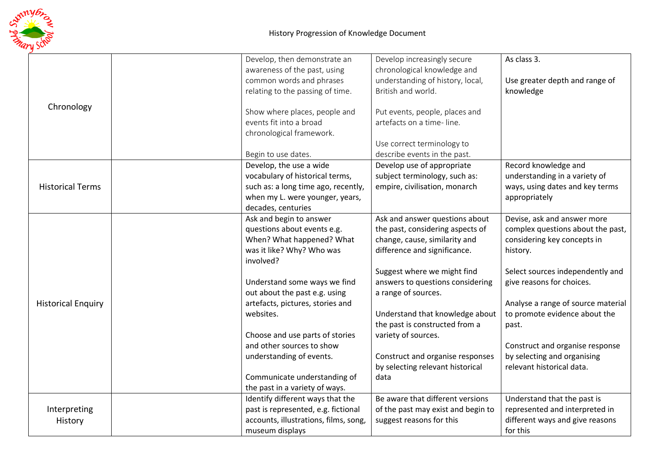

|                           | Develop, then demonstrate an                                 | Develop increasingly secure                                          | As class 3.                                              |
|---------------------------|--------------------------------------------------------------|----------------------------------------------------------------------|----------------------------------------------------------|
|                           | awareness of the past, using                                 | chronological knowledge and                                          |                                                          |
|                           | common words and phrases                                     | understanding of history, local,                                     | Use greater depth and range of                           |
|                           | relating to the passing of time.                             | British and world.                                                   | knowledge                                                |
|                           |                                                              |                                                                      |                                                          |
| Chronology                | Show where places, people and                                | Put events, people, places and                                       |                                                          |
|                           | events fit into a broad                                      | artefacts on a time-line.                                            |                                                          |
|                           | chronological framework.                                     |                                                                      |                                                          |
|                           |                                                              | Use correct terminology to                                           |                                                          |
|                           | Begin to use dates.                                          | describe events in the past.                                         |                                                          |
|                           | Develop, the use a wide                                      | Develop use of appropriate                                           | Record knowledge and                                     |
|                           | vocabulary of historical terms,                              | subject terminology, such as:                                        | understanding in a variety of                            |
| <b>Historical Terms</b>   | such as: a long time ago, recently,                          | empire, civilisation, monarch                                        | ways, using dates and key terms                          |
|                           | when my L. were younger, years,                              |                                                                      | appropriately                                            |
|                           | decades, centuries                                           |                                                                      |                                                          |
|                           | Ask and begin to answer                                      | Ask and answer questions about                                       | Devise, ask and answer more                              |
|                           | questions about events e.g.                                  | the past, considering aspects of                                     | complex questions about the past,                        |
|                           | When? What happened? What                                    | change, cause, similarity and                                        | considering key concepts in                              |
|                           | was it like? Why? Who was                                    | difference and significance.                                         | history.                                                 |
|                           | involved?                                                    |                                                                      |                                                          |
|                           |                                                              | Suggest where we might find                                          | Select sources independently and                         |
|                           | Understand some ways we find                                 | answers to questions considering                                     | give reasons for choices.                                |
|                           | out about the past e.g. using                                | a range of sources.                                                  |                                                          |
| <b>Historical Enquiry</b> | artefacts, pictures, stories and                             |                                                                      | Analyse a range of source material                       |
|                           | websites.                                                    | Understand that knowledge about                                      | to promote evidence about the                            |
|                           |                                                              | the past is constructed from a                                       | past.                                                    |
|                           | Choose and use parts of stories<br>and other sources to show | variety of sources.                                                  |                                                          |
|                           |                                                              |                                                                      | Construct and organise response                          |
|                           | understanding of events.                                     | Construct and organise responses<br>by selecting relevant historical | by selecting and organising<br>relevant historical data. |
|                           | Communicate understanding of                                 | data                                                                 |                                                          |
|                           | the past in a variety of ways.                               |                                                                      |                                                          |
|                           | Identify different ways that the                             | Be aware that different versions                                     | Understand that the past is                              |
| Interpreting<br>History   | past is represented, e.g. fictional                          | of the past may exist and begin to                                   | represented and interpreted in                           |
|                           | accounts, illustrations, films, song,                        | suggest reasons for this                                             | different ways and give reasons                          |
|                           | museum displays                                              |                                                                      | for this                                                 |